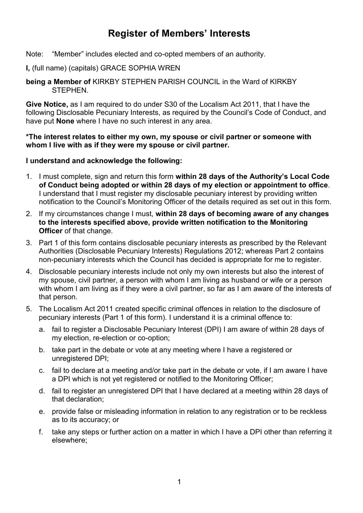# **Register of Members' Interests**

- Note: "Member" includes elected and co-opted members of an authority.
- **I,** (full name) (capitals) GRACE SOPHIA WREN
- **being a Member of** KIRKBY STEPHEN PARISH COUNCIL in the Ward of KIRKBY STEPHEN.

**Give Notice,** as I am required to do under S30 of the Localism Act 2011, that I have the following Disclosable Pecuniary Interests, as required by the Council's Code of Conduct, and have put **None** where I have no such interest in any area.

**\*The interest relates to either my own, my spouse or civil partner or someone with whom I live with as if they were my spouse or civil partner.** 

#### **I understand and acknowledge the following:**

- 1. I must complete, sign and return this form **within 28 days of the Authority's Local Code of Conduct being adopted or within 28 days of my election or appointment to office**. I understand that I must register my disclosable pecuniary interest by providing written notification to the Council's Monitoring Officer of the details required as set out in this form.
- 2. If my circumstances change I must, **within 28 days of becoming aware of any changes to the interests specified above, provide written notification to the Monitoring Officer** of that change.
- 3. Part 1 of this form contains disclosable pecuniary interests as prescribed by the Relevant Authorities (Disclosable Pecuniary Interests) Regulations 2012; whereas Part 2 contains non-pecuniary interests which the Council has decided is appropriate for me to register.
- 4. Disclosable pecuniary interests include not only my own interests but also the interest of my spouse, civil partner, a person with whom I am living as husband or wife or a person with whom I am living as if they were a civil partner, so far as I am aware of the interests of that person.
- 5. The Localism Act 2011 created specific criminal offences in relation to the disclosure of pecuniary interests (Part 1 of this form). I understand it is a criminal offence to:
	- a. fail to register a Disclosable Pecuniary Interest (DPI) I am aware of within 28 days of my election, re-election or co-option;
	- b. take part in the debate or vote at any meeting where I have a registered or unregistered DPI;
	- c. fail to declare at a meeting and/or take part in the debate or vote, if I am aware I have a DPI which is not yet registered or notified to the Monitoring Officer;
	- d. fail to register an unregistered DPI that I have declared at a meeting within 28 days of that declaration;
	- e. provide false or misleading information in relation to any registration or to be reckless as to its accuracy; or
	- f. take any steps or further action on a matter in which I have a DPI other than referring it elsewhere;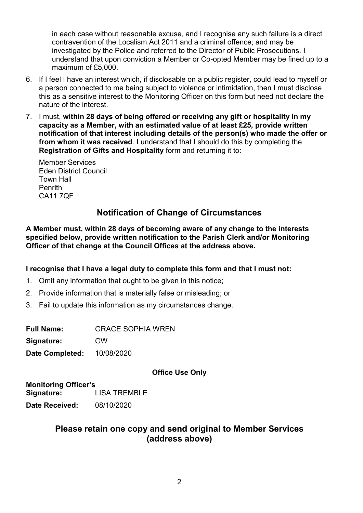in each case without reasonable excuse, and I recognise any such failure is a direct contravention of the Localism Act 2011 and a criminal offence; and may be investigated by the Police and referred to the Director of Public Prosecutions. I understand that upon conviction a Member or Co-opted Member may be fined up to a maximum of £5,000.

- 6. If I feel I have an interest which, if disclosable on a public register, could lead to myself or a person connected to me being subject to violence or intimidation, then I must disclose this as a sensitive interest to the Monitoring Officer on this form but need not declare the nature of the interest.
- 7. I must, **within 28 days of being offered or receiving any gift or hospitality in my capacity as a Member, with an estimated value of at least £25, provide written notification of that interest including details of the person(s) who made the offer or from whom it was received**. I understand that I should do this by completing the **Registration of Gifts and Hospitality** form and returning it to:

 Member Services Eden District Council Town Hall Penrith CA11 7QF

# **Notification of Change of Circumstances**

**A Member must, within 28 days of becoming aware of any change to the interests specified below, provide written notification to the Parish Clerk and/or Monitoring Officer of that change at the Council Offices at the address above.**

#### **I recognise that I have a legal duty to complete this form and that I must not:**

- 1. Omit any information that ought to be given in this notice;
- 2. Provide information that is materially false or misleading; or
- 3. Fail to update this information as my circumstances change.

**Full Name:** GRACE SOPHIA WREN

**Signature:** GW

**Date Completed:** 10/08/2020

#### **Office Use Only**

**Monitoring Officer's Signature:** LISA TREMBLE **Date Received:** 08/10/2020

## **Please retain one copy and send original to Member Services (address above)**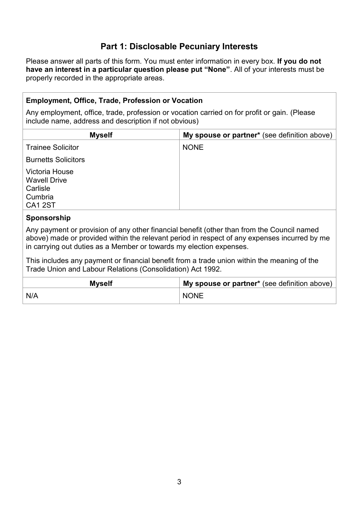# **Part 1: Disclosable Pecuniary Interests**

Please answer all parts of this form. You must enter information in every box. **If you do not have an interest in a particular question please put "None"**. All of your interests must be properly recorded in the appropriate areas.

### **Employment, Office, Trade, Profession or Vocation**

Any employment, office, trade, profession or vocation carried on for profit or gain. (Please include name, address and description if not obvious)

| <b>Myself</b>                                                                  | My spouse or partner* (see definition above) |
|--------------------------------------------------------------------------------|----------------------------------------------|
| <b>Trainee Solicitor</b>                                                       | <b>NONE</b>                                  |
| <b>Burnetts Solicitors</b>                                                     |                                              |
| Victoria House<br><b>Wavell Drive</b><br>Carlisle<br>Cumbria<br><b>CA1 2ST</b> |                                              |

#### **Sponsorship**

Any payment or provision of any other financial benefit (other than from the Council named above) made or provided within the relevant period in respect of any expenses incurred by me in carrying out duties as a Member or towards my election expenses.

This includes any payment or financial benefit from a trade union within the meaning of the Trade Union and Labour Relations (Consolidation) Act 1992.

| <b>Myself</b> | My spouse or partner* (see definition above) |  |
|---------------|----------------------------------------------|--|
| N/A           | <b>NONE</b>                                  |  |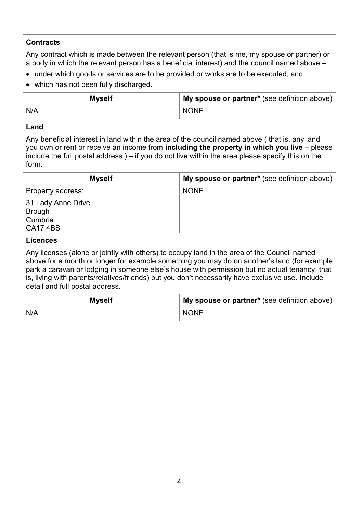### **Contracts**

Any contract which is made between the relevant person (that is me, my spouse or partner) or a body in which the relevant person has a beneficial interest) and the council named above –

- under which goods or services are to be provided or works are to be executed; and
- which has not been fully discharged.

| <b>Myself</b> | My spouse or partner* (see definition above) |  |
|---------------|----------------------------------------------|--|
| N/A           | <b>NONE</b>                                  |  |

#### **Land**

Any beneficial interest in land within the area of the council named above ( that is, any land you own or rent or receive an income from **including the property in which you live** – please include the full postal address ) – if you do not live within the area please specify this on the form.

| <b>Myself</b>                | My spouse or partner* (see definition above) |
|------------------------------|----------------------------------------------|
| Property address:            | <b>NONE</b>                                  |
| 31 Lady Anne Drive<br>Brough |                                              |
| Cumbria                      |                                              |
| <b>CA174BS</b>               |                                              |

#### **Licences**

Any licenses (alone or jointly with others) to occupy land in the area of the Council named above for a month or longer for example something you may do on another's land (for example park a caravan or lodging in someone else's house with permission but no actual tenancy, that is, living with parents/relatives/friends) but you don't necessarily have exclusive use. Include detail and full postal address.

| <b>Myself</b> | My spouse or partner* (see definition above) |  |
|---------------|----------------------------------------------|--|
| N/A           | <b>NONE</b>                                  |  |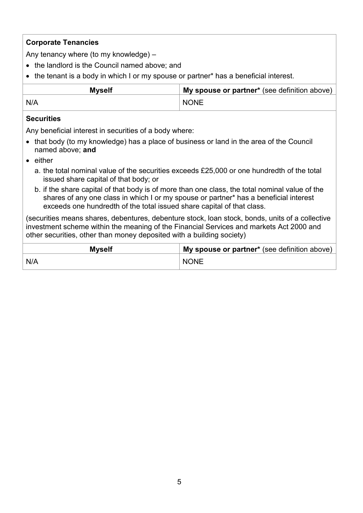### **Corporate Tenancies**

Any tenancy where (to my knowledge) –

- the landlord is the Council named above; and
- the tenant is a body in which I or my spouse or partner\* has a beneficial interest.

| <b>Myself</b> | My spouse or partner* (see definition above) |  |
|---------------|----------------------------------------------|--|
| N/A           | <b>NONE</b>                                  |  |

#### **Securities**

Any beneficial interest in securities of a body where:

- that body (to my knowledge) has a place of business or land in the area of the Council named above; **and**
- **e** either
	- a. the total nominal value of the securities exceeds £25,000 or one hundredth of the total issued share capital of that body; or
	- b. if the share capital of that body is of more than one class, the total nominal value of the shares of any one class in which I or my spouse or partner\* has a beneficial interest exceeds one hundredth of the total issued share capital of that class.

(securities means shares, debentures, debenture stock, loan stock, bonds, units of a collective investment scheme within the meaning of the Financial Services and markets Act 2000 and other securities, other than money deposited with a building society)

| <b>Myself</b> | My spouse or partner* (see definition above) |  |
|---------------|----------------------------------------------|--|
| N/A           | <b>NONE</b>                                  |  |